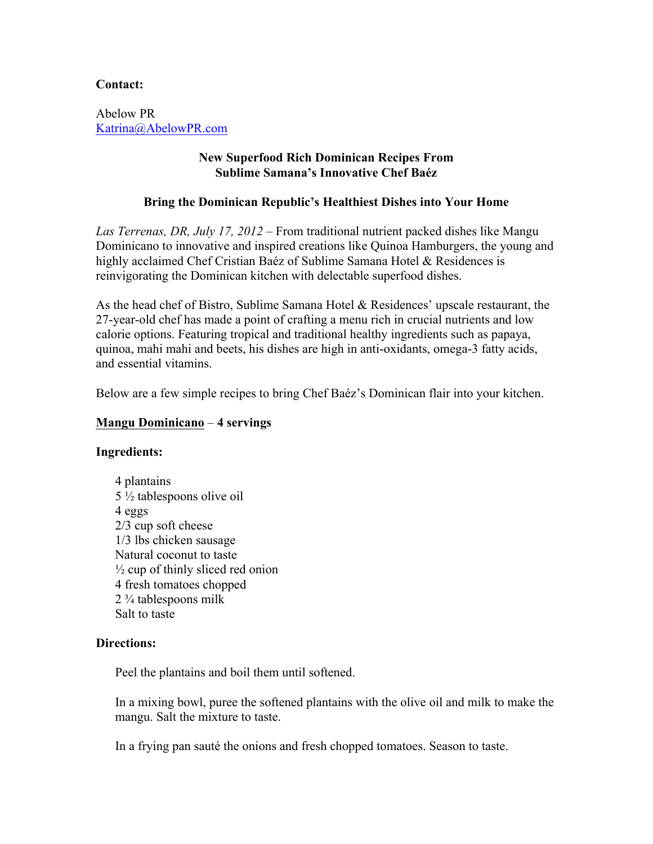# **Contact:**

Abelow PR Katrina@AbelowPR.com

# **New Superfood Rich Dominican Recipes From Sublime Samana's Innovative Chef Baéz**

# **Bring the Dominican Republic's Healthiest Dishes into Your Home**

*Las Terrenas, DR, July 17, 2012 –* From traditional nutrient packed dishes like Mangu Dominicano to innovative and inspired creations like Quinoa Hamburgers, the young and highly acclaimed Chef Cristian Baéz of Sublime Samana Hotel & Residences is reinvigorating the Dominican kitchen with delectable superfood dishes.

As the head chef of Bistro, Sublime Samana Hotel & Residences' upscale restaurant, the 27-year-old chef has made a point of crafting a menu rich in crucial nutrients and low calorie options. Featuring tropical and traditional healthy ingredients such as papaya, quinoa, mahi mahi and beets, his dishes are high in anti-oxidants, omega-3 fatty acids, and essential vitamins.

Below are a few simple recipes to bring Chef Baéz's Dominican flair into your kitchen.

## **Mangu Dominicano** – **4 servings**

## **Ingredients:**

4 plantains 5 ½ tablespoons olive oil 4 eggs 2/3 cup soft cheese 1/3 lbs chicken sausage Natural coconut to taste  $\frac{1}{2}$  cup of thinly sliced red onion 4 fresh tomatoes chopped 2 ¾ tablespoons milk Salt to taste

## **Directions:**

Peel the plantains and boil them until softened.

In a mixing bowl, puree the softened plantains with the olive oil and milk to make the mangu. Salt the mixture to taste.

In a frying pan sauté the onions and fresh chopped tomatoes. Season to taste.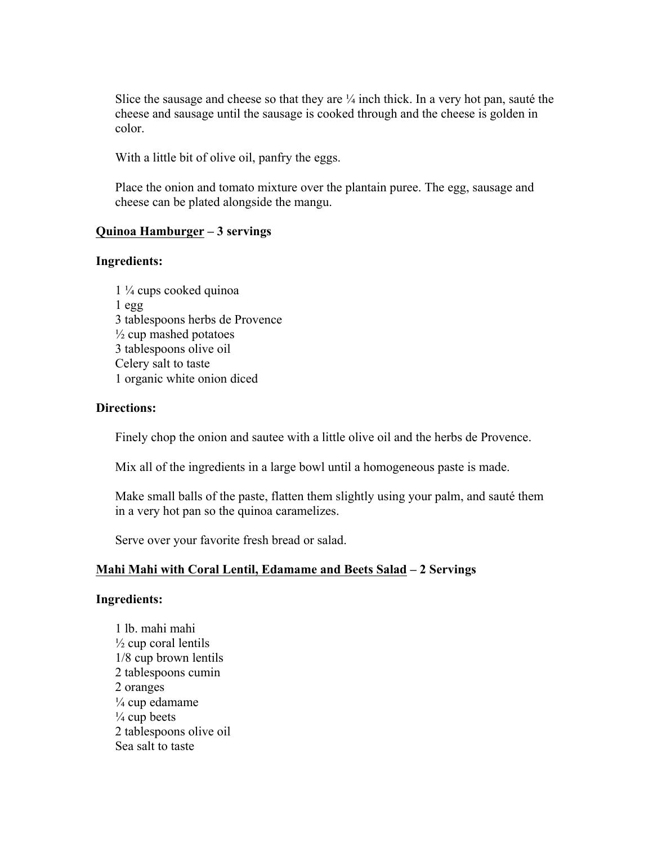Slice the sausage and cheese so that they are  $\frac{1}{4}$  inch thick. In a very hot pan, sauté the cheese and sausage until the sausage is cooked through and the cheese is golden in color.

With a little bit of olive oil, panfry the eggs.

Place the onion and tomato mixture over the plantain puree. The egg, sausage and cheese can be plated alongside the mangu.

### **Quinoa Hamburger – 3 servings**

### **Ingredients:**

1 ¼ cups cooked quinoa 1 egg 3 tablespoons herbs de Provence  $\frac{1}{2}$  cup mashed potatoes 3 tablespoons olive oil Celery salt to taste 1 organic white onion diced

#### **Directions:**

Finely chop the onion and sautee with a little olive oil and the herbs de Provence.

Mix all of the ingredients in a large bowl until a homogeneous paste is made.

Make small balls of the paste, flatten them slightly using your palm, and sauté them in a very hot pan so the quinoa caramelizes.

Serve over your favorite fresh bread or salad.

## **Mahi Mahi with Coral Lentil, Edamame and Beets Salad – 2 Servings**

#### **Ingredients:**

1 lb. mahi mahi  $\frac{1}{2}$  cup coral lentils 1/8 cup brown lentils 2 tablespoons cumin 2 oranges  $\frac{1}{4}$  cup edamame  $\frac{1}{4}$  cup beets 2 tablespoons olive oil Sea salt to taste